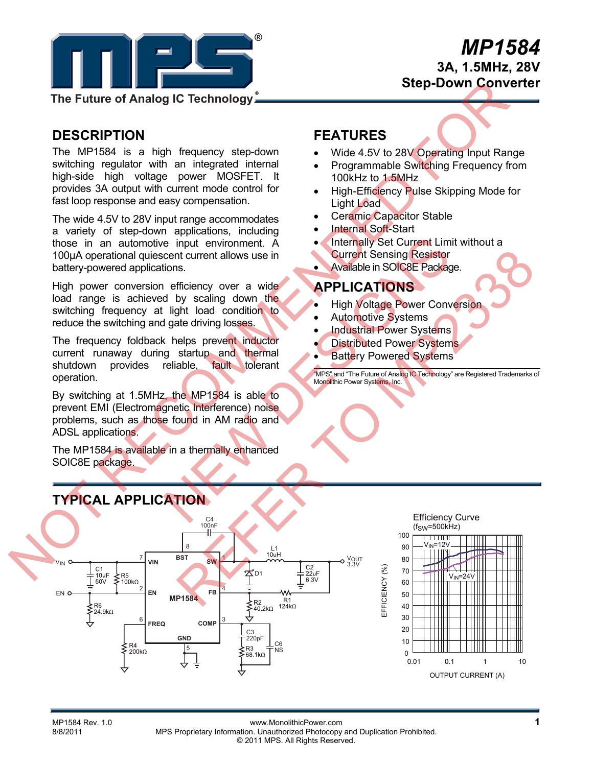

# *MP1584* **3A, 1.5MHz, 28V Step-Down Converter**

**The Future of Analog IC Technology**

# **DESCRIPTION**

The MP1584 is a high frequency step-down switching regulator with an integrated internal high-side high voltage power MOSFET. It provides 3A output with current mode control for fast loop response and easy compensation.

The wide 4.5V to 28V input range accommodates a variety of step-down applications, including those in an automotive input environment. A 100µA operational quiescent current allows use in battery-powered applications.

High power conversion efficiency over a wide load range is achieved by scaling down the switching frequency at light load condition to reduce the switching and gate driving losses.

The frequency foldback helps prevent inductor current runaway during startup and thermal shutdown provides reliable, fault tolerant operation.

By switching at 1.5MHz, the MP1584 is able to prevent EMI (Electromagnetic Interference) noise problems, such as those found in AM radio and ADSL applications.

The MP1584 is available in a thermally enhanced SOIC8E package.

## **FEATURES**

- Wide 4.5V to 28V Operating Input Range
- Programmable Switching Frequency from 100kHz to 1.5MHz
- High-Efficiency Pulse Skipping Mode for Light Load
- Ceramic Capacitor Stable
- Internal Soft-Start
- Internally Set Current Limit without a
- Current Sensing Resistor
- Available in SOIC8E Package.

### **APPLICATIONS**

- High Voltage Power Conversion
- Automotive Systems
- Industrial Power Systems
- Distributed Power Systems
- Battery Powered Systems

"MPS" and "The Future of Analog IC Technology" are Registered Trademarks of Monolithic Power Systems, Inc.



#### MP1584 Rev. 1.0 **11 MP1584 Rev. 1.0** www.MonolithicPower.com<br>R/R/2011 MPS Proprietary Information Unauthorized Photocopy and Duplication Probibited MPS Proprietary Information. Unauthorized Photocopy and Duplication Prohibited. © 2011 MPS. All Rights Reserved.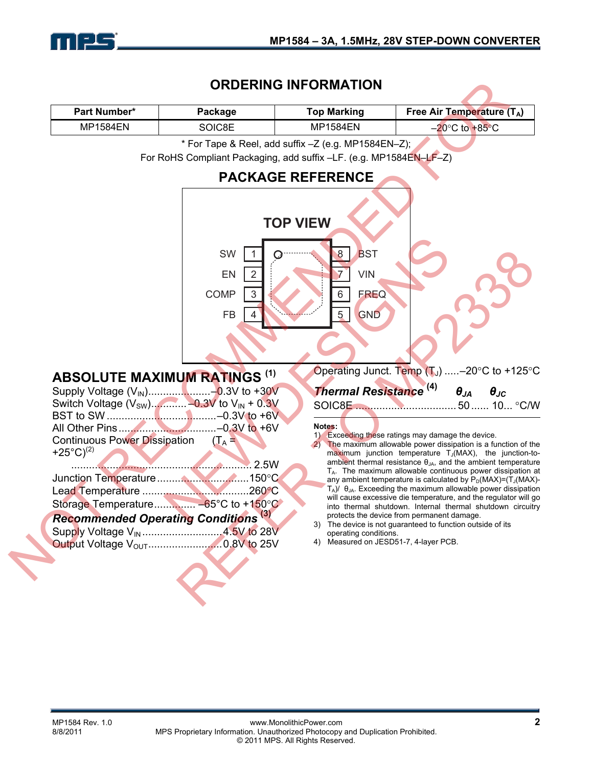

### **ORDERING INFORMATION**

|                                                                                           |                              | <b>ORDERING INFORMATION</b>                                        |                                                                                                                                                                                                                                                                                                                                     |
|-------------------------------------------------------------------------------------------|------------------------------|--------------------------------------------------------------------|-------------------------------------------------------------------------------------------------------------------------------------------------------------------------------------------------------------------------------------------------------------------------------------------------------------------------------------|
| Part Number*                                                                              | Package                      | <b>Top Marking</b>                                                 | Free Air Temperature $(T_A)$                                                                                                                                                                                                                                                                                                        |
| <b>MP1584EN</b>                                                                           | SOIC8E                       | <b>MP1584EN</b>                                                    | $-20$ °C to $+85$ °C                                                                                                                                                                                                                                                                                                                |
|                                                                                           |                              | * For Tape & Reel, add suffix -Z (e.g. MP1584EN-Z);                |                                                                                                                                                                                                                                                                                                                                     |
|                                                                                           |                              | For RoHS Compliant Packaging, add suffix -LF. (e.g. MP1584EN-LF-Z) |                                                                                                                                                                                                                                                                                                                                     |
|                                                                                           |                              | <b>PACKAGE REFERENCE</b>                                           |                                                                                                                                                                                                                                                                                                                                     |
|                                                                                           |                              | <b>TOP VIEW</b>                                                    |                                                                                                                                                                                                                                                                                                                                     |
|                                                                                           | SW<br>EN                     | <b>BST</b><br>$\boldsymbol{8}$<br><b>VIN</b>                       |                                                                                                                                                                                                                                                                                                                                     |
|                                                                                           | COMP<br>3<br>FB              | <b>FREQ</b><br>6<br>$5\overline{)}$<br><b>GND</b>                  |                                                                                                                                                                                                                                                                                                                                     |
| <b>ABSOLUTE MAXIMUM RATINGS (1)</b>                                                       |                              |                                                                    | Operating Junct. Temp $(T_J)$ -20°C to +125°C                                                                                                                                                                                                                                                                                       |
|                                                                                           |                              | Thermal Resistance <sup>(4)</sup>                                  | $\boldsymbol{\theta_{JA}}$<br>$\theta_{JC}$                                                                                                                                                                                                                                                                                         |
|                                                                                           |                              |                                                                    |                                                                                                                                                                                                                                                                                                                                     |
| <b>Continuous Power Dissipation</b><br>+25°C) <sup>(2)</sup>                              | $(T_A =$<br><u>2.5W</u> 2.5W | Notes:                                                             | 1) Exceeding these ratings may damage the device.<br>The maximum allowable power dissipation is a function of the<br>maximum junction temperature $T_J(MAX)$ , the junction-to-<br>ambient thermal resistance $\theta_{JA}$ , and the ambient temperature<br>T <sub>A</sub> . The maximum allowable continuous power dissipation at |
|                                                                                           |                              |                                                                    | any ambient temperature is calculated by $P_D(MAX)=(T_J(MAX)-T_J(MAX))$                                                                                                                                                                                                                                                             |
|                                                                                           |                              |                                                                    | $T_A$ )/ $\theta_{JA}$ . Exceeding the maximum allowable power dissipation<br>will cause excessive die temperature, and the regulator will go                                                                                                                                                                                       |
|                                                                                           |                              |                                                                    | into thermal shutdown. Internal thermal shutdown circuitry<br>protects the device from permanent damage.                                                                                                                                                                                                                            |
| <b>Recommended Operating Conditions (3)</b><br>Supply Voltage V <sub>IN</sub> 4.5V to 28V |                              | operating conditions.                                              | 3) The device is not guaranteed to function outside of its                                                                                                                                                                                                                                                                          |
|                                                                                           |                              | 4)                                                                 | Measured on JESD51-7, 4-layer PCB.                                                                                                                                                                                                                                                                                                  |
|                                                                                           |                              |                                                                    |                                                                                                                                                                                                                                                                                                                                     |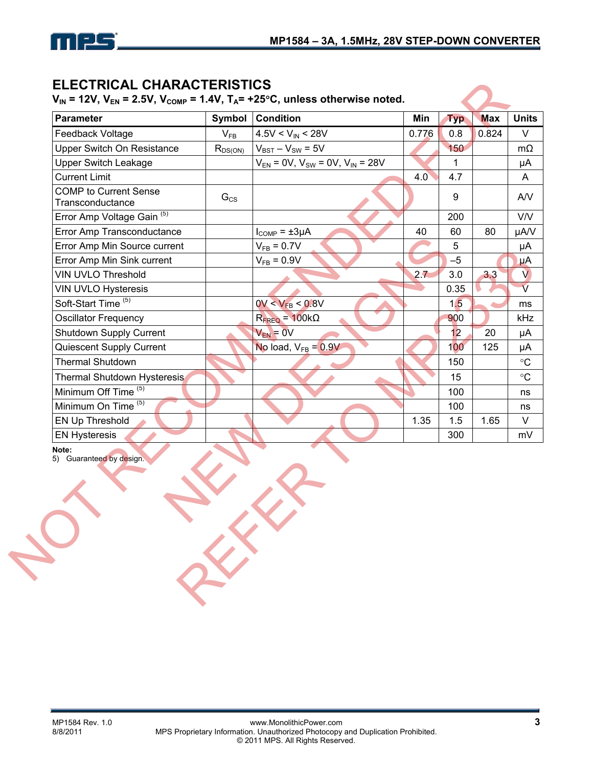

### **ELECTRICAL CHARACTERISTICS**

| Feedback Voltage<br>Upper Switch On Resistance   | Symbol       | <b>Condition</b>                             | Min   | <b>Typ</b> | <b>Max</b> | <b>Units</b>            |
|--------------------------------------------------|--------------|----------------------------------------------|-------|------------|------------|-------------------------|
|                                                  | $V_{FB}$     | $4.5V < V_{IN} < 28V$                        | 0.776 | 0.8        | 0.824      | V                       |
|                                                  | $R_{DS(ON)}$ | $V_{BST} - V_{SW} = 5V$                      |       | 150        |            | $m\Omega$               |
| <b>Upper Switch Leakage</b>                      |              | $V_{EN}$ = 0V, $V_{SW}$ = 0V, $V_{IN}$ = 28V |       | 1          |            | μA                      |
| <b>Current Limit</b>                             |              |                                              | 4.0   | 4.7        |            | A                       |
| <b>COMP</b> to Current Sense<br>Transconductance | $G_{CS}$     |                                              |       | 9          |            | AVV                     |
| Error Amp Voltage Gain <sup>(5)</sup>            |              |                                              |       | 200        |            | <b>V/V</b>              |
| Error Amp Transconductance                       |              | $I_{COMP} = \pm 3\mu A$                      | 40    | 60         | 80         | µA/V                    |
| Error Amp Min Source current                     |              | $V_{FB} = 0.7V$                              |       | 5          |            | μA                      |
| Error Amp Min Sink current                       |              | $V_{FB} = 0.9V$                              |       | $-5$       |            | μA                      |
| <b>VIN UVLO Threshold</b>                        |              |                                              | 2.7   | 3.0        | 3.3        | $\vee$                  |
| <b>VIN UVLO Hysteresis</b>                       |              |                                              |       | 0.35       |            | $\overline{\mathsf{V}}$ |
| Soft-Start Time <sup>(5)</sup>                   |              | $0V < V_{FB} < 0.8V$                         |       | 1,5        |            | ms                      |
| <b>Oscillator Frequency</b>                      |              | $R_{\text{FREQ}} = 100 \text{k}\Omega$       |       | 900        |            | kHz                     |
| Shutdown Supply Current                          |              | $V_{EN} = 0V$                                |       | 12         | 20         | μA                      |
| Quiescent Supply Current                         |              | No load, $V_{FB} = 0.9V$                     |       | 100        | 125        | μA                      |
| <b>Thermal Shutdown</b>                          |              |                                              |       | 150        |            | $\circ$ C               |
| Thermal Shutdown Hysteresis                      |              |                                              |       | 15         |            | $\circ$ C               |
| Minimum Off Time <sup>(5)</sup>                  |              |                                              |       | 100        |            | ns                      |
| Minimum On Time <sup>(5)</sup>                   |              |                                              |       | 100        |            | ns                      |
| <b>EN Up Threshold</b>                           |              |                                              | 1.35  | 1.5        | 1.65       | $\vee$                  |
| <b>EN Hysteresis</b>                             |              |                                              |       | 300        |            | mV                      |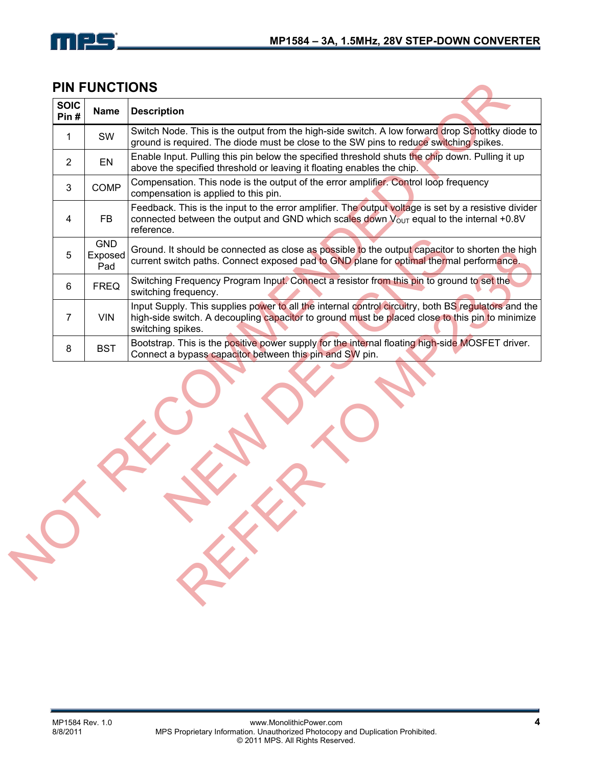

### **PIN FUNCTIONS**

| <b>SOIC</b><br>Pin#          | <b>Description</b><br><b>Name</b>                                                                                                                                                                                           |
|------------------------------|-----------------------------------------------------------------------------------------------------------------------------------------------------------------------------------------------------------------------------|
| SW<br>1                      | Switch Node. This is the output from the high-side switch. A low forward drop Schottky diode to<br>ground is required. The diode must be close to the SW pins to reduce switching spikes.                                   |
| EN<br>$\overline{2}$         | Enable Input. Pulling this pin below the specified threshold shuts the chip down. Pulling it up<br>above the specified threshold or leaving it floating enables the chip.                                                   |
| 3                            | Compensation. This node is the output of the error amplifier. Control loop frequency<br><b>COMP</b><br>compensation is applied to this pin.                                                                                 |
| <b>FB</b><br>4               | Feedback. This is the input to the error amplifier. The output voltage is set by a resistive divider<br>connected between the output and GND which scales down $V_{\text{OUT}}$ equal to the internal +0.8V<br>reference.   |
| 5<br>Pad                     | <b>GND</b><br>Ground. It should be connected as close as possible to the output capacitor to shorten the high<br>Exposed<br>current switch paths. Connect exposed pad to GND plane for optimal thermal performance.         |
| 6                            | Switching Frequency Program Input. Connect a resistor from this pin to ground to set the<br><b>FREQ</b><br>switching frequency.                                                                                             |
| $\overline{7}$<br><b>VIN</b> | Input Supply. This supplies power to all the internal control circuitry, both BS regulators and the<br>high-side switch. A decoupling capacitor to ground must be placed close to this pin to minimize<br>switching spikes. |
| <b>BST</b><br>8              | Bootstrap. This is the positive power supply for the internal floating high-side MOSFET driver.<br>Connect a bypass capacitor between this pin and SW pin.                                                                  |
|                              |                                                                                                                                                                                                                             |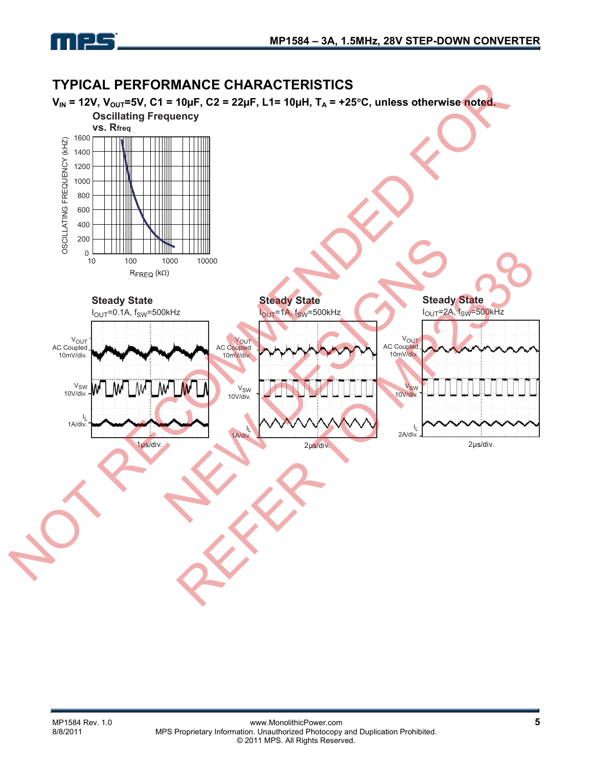

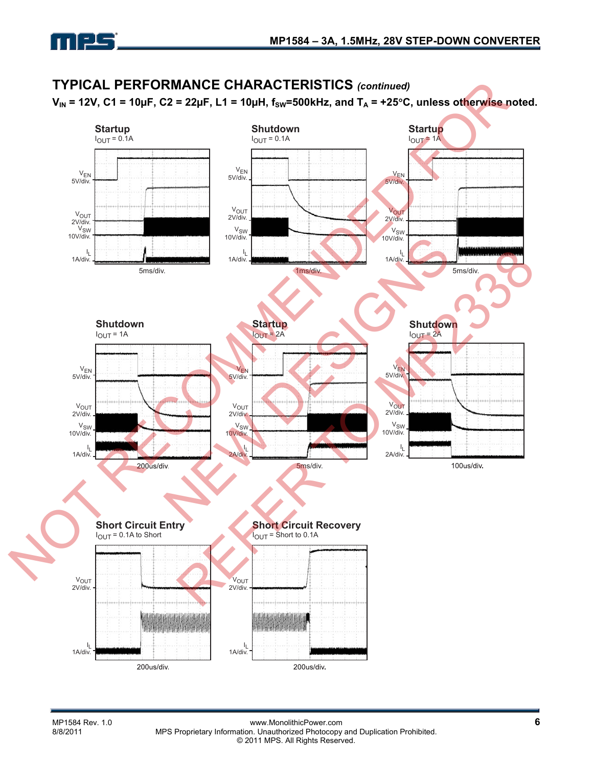#### **TYPICAL PERFORMANCE CHARACTERISTICS** *(continued)* TYPICAL PERFORMANCE CHARACTERISTICS (continued)<br>
V<sub>N</sub> = 12V, C i = 10µF, C2 = 22µF, L1 = 10µH, f<sub>30</sub> = 22µF, L1 = 100Hz, and T<sub>n</sub> = +25°C, unloss otherwise.<br>
Starting Starting Starting Starting Starting Starting Starting  $V_{IN}$  = 12V, C1 = 10µF, C2 = 22µF, L1 = 10µH,  $f_{SW}$ =500kHz, and  $T_A$  = +25°C, unless otherwise noted. **Shutdown Startup Startup**  $I<sub>OUT</sub> = 0.1A$  $I_{OUT}$  = 1A  $I<sub>OUT</sub> = 0.1A$ VEN VEN V<sub>EN</sub><br>.5V/div 5V/div. 5V/div. VOUT VOUT V<sub>OUT</sub><br>2V/div.<br>10V/div. 2V/div. 2V/div. V<sub>SW</sub> VSW 10V/div. 10V/div. New World Startup<br>
Mark Startup<br>
Web Startup<br>
Web Startup<br>
Web Startup<br>
Web Startup<br>
Web Startup<br>
Web Startup<br>
Web Startup<br>
Web Shutdow<br>
New Your 2A<br>
New Your Startup<br>
New Your Shutdow<br>
New Your Shutdow<br>
New Your Shutdow<br> REFERENCE RECOVERY ا<br>.1A/div I L  $I_{\rm L}$ 1A/div. 1A/div. 5ms/div. 1ms/div. 5ms/div. **Startup Shutdown Shutdown**  $I_{OUT} = 1A$  $I_{\text{OUT}} = 2A$  $I<sub>OUT</sub> = 2A$  $V_{EN}$ <br>5V/div.  $V_{EN}$ VEN 5V/div. 5V/div. V<sub>OUT</sub> VOUT VOUT 2V/div. 2V/div. 2V/div. V<sub>SW</sub> V<sub>SW</sub> VSW 10V/div. 10V/div. 10V/div. I L ا<br>.1A/div I L 2A/div. 2A/div. 5ms/div. **Short Circuit Entry Short Circuit Recovery**  $I<sub>OUT</sub> = 0.1A$  to Short  $I<sub>OUT</sub>$  = Short to 0.1A V<sub>OUT</sub><br>2V/div. V<sub>OUT</sub><br>2V/div. **diditations distribution district** dhilida dali dalidida I L l<sub>L</sub><br>.1A/div 1A/div. 200us/div. 200us/div.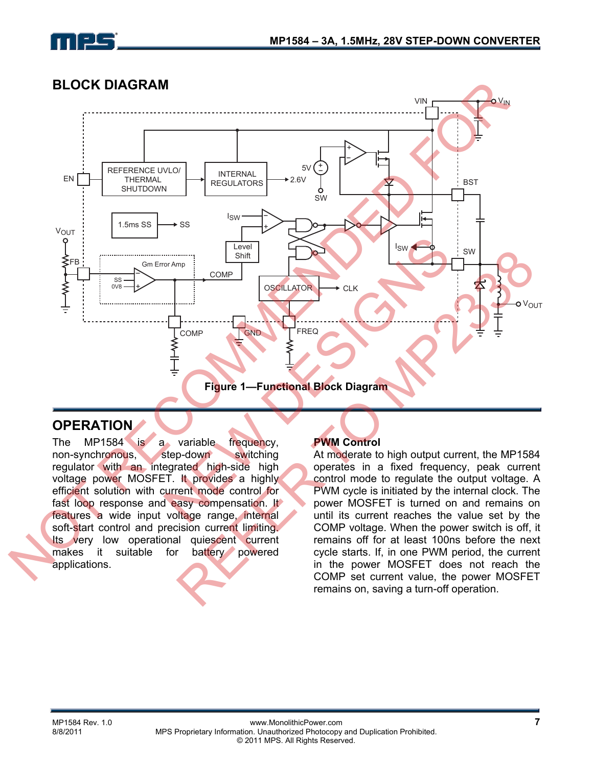

### **BLOCK DIAGRAM**



### **OPERATION**

The MP1584 is a variable frequency, non-synchronous, step-down switching regulator with an integrated high-side high voltage power MOSFET. It provides a highly efficient solution with current mode control for fast loop response and easy compensation. It features a wide input voltage range, internal soft-start control and precision current limiting. Its very low operational quiescent current makes it suitable for battery powered applications.

### **PWM Control**

At moderate to high output current, the MP1584 operates in a fixed frequency, peak current control mode to regulate the output voltage. A PWM cycle is initiated by the internal clock. The power MOSFET is turned on and remains on until its current reaches the value set by the COMP voltage. When the power switch is off, it remains off for at least 100ns before the next cycle starts. If, in one PWM period, the current in the power MOSFET does not reach the remains on, saving a turn-off operation.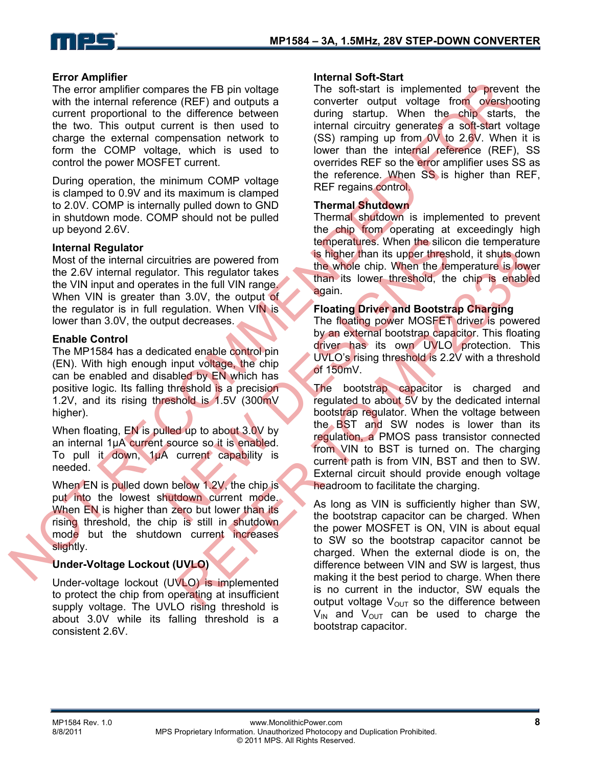

#### **Error Amplifier**

The error amplifier compares the FB pin voltage with the internal reference (REF) and outputs a current proportional to the difference between the two. This output current is then used to charge the external compensation network to form the COMP voltage, which is used to control the power MOSFET current.

During operation, the minimum COMP voltage is clamped to 0.9V and its maximum is clamped to 2.0V. COMP is internally pulled down to GND in shutdown mode. COMP should not be pulled up beyond 2.6V.

#### **Internal Regulator**

Most of the internal circuitries are powered from the 2.6V internal regulator. This regulator takes the VIN input and operates in the full VIN range. When VIN is greater than 3.0V, the output of the regulator is in full regulation. When VIN is lower than 3.0V, the output decreases.

#### **Enable Control**

The MP1584 has a dedicated enable control pin (EN). With high enough input voltage, the chip can be enabled and disabled by EN which has positive logic. Its falling threshold is a precision 1.2V, and its rising threshold is 1.5V (300mV higher).

When floating, EN is pulled up to about 3.0V by an internal 1µA current source so it is enabled. To pull it down, 1µA current capability is needed.

When EN is pulled down below 1.2V, the chip is put into the lowest shutdown current mode. When EN is higher than zero but lower than its rising threshold, the chip is still in shutdown mode but the shutdown current increases slightly.

#### **Under-Voltage Lockout (UVLO)**

Under-voltage lockout (UVLO) is implemented to protect the chip from operating at insufficient supply voltage. The UVLO rising threshold is about 3.0V while its falling threshold is a consistent 2.6V.

#### **Internal Soft-Start**

The soft-start is implemented to prevent the converter output voltage from overshooting during startup. When the chip starts, the internal circuitry generates a soft-start voltage (SS) ramping up from  $0V$  to 2.6V. When it is lower than the internal reference (REF), SS overrides REF so the error amplifier uses SS as the reference. When SS is higher than REF, REF regains control.

#### **Thermal Shutdown**

Thermal shutdown is implemented to prevent the chip from operating at exceedingly high temperatures. When the silicon die temperature is higher than its upper threshold, it shuts down the whole chip. When the temperature is lower than its lower threshold, the chip is enabled again.

#### **Floating Driver and Bootstrap Charging**

The floating power MOSFET driver is powered by an external bootstrap capacitor. This floating driver has its own UVLO protection. This UVLO's rising threshold is 2.2V with a threshold of 150mV.

The bootstrap capacitor is charged and regulated to about 5V by the dedicated internal bootstrap regulator. When the voltage between the BST and SW nodes is lower than its regulation, a PMOS pass transistor connected from VIN to BST is turned on. The charging current path is from VIN, BST and then to SW. External circuit should provide enough voltage headroom to facilitate the charging. The entropy material controlled the dimension of the software increases the fitsing interest of the software of the software of the software of the entropy of the entropy of the entropy of the entropy of the entropy of the times are powered from<br>
the state of the state of the state of the state in the full VIN range<br>
than 3.0V, the output of<br>
again.<br>
Han 3.0V, the output of<br>
again.<br>
Han 3.0V, the output of<br>
again.<br>
Floating Driver and Bootst This regulator that is in the three three transferse three three transferse in the third when the theorem at the the the the state of the three transferses that the method, the change over the state of the transferse to th

As long as VIN is sufficiently higher than SW, the bootstrap capacitor can be charged. When the power MOSFET is ON, VIN is about equal to SW so the bootstrap capacitor cannot be charged. When the external diode is on, the difference between VIN and SW is largest, thus making it the best period to charge. When there is no current in the inductor, SW equals the output voltage  $V_{\text{OUT}}$  so the difference between  $V_{\text{IN}}$  and  $V_{\text{OUT}}$  can be used to charge the bootstrap capacitor.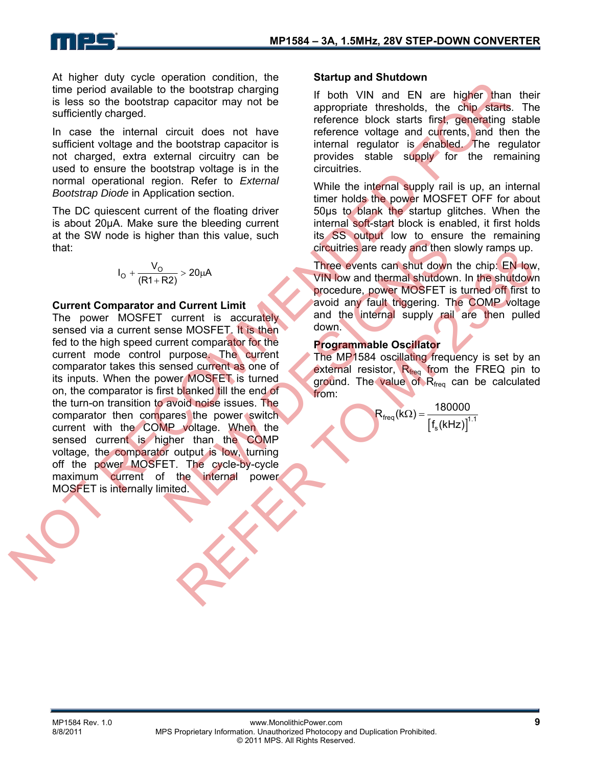At higher duty cycle operation condition, the time period available to the bootstrap charging is less so the bootstrap capacitor may not be sufficiently charged.

In case the internal circuit does not have sufficient voltage and the bootstrap capacitor is not charged, extra external circuitry can be used to ensure the bootstrap voltage is in the normal operational region. Refer to *External Bootstrap Diode* in Application section.

The DC quiescent current of the floating driver is about 20µA. Make sure the bleeding current at the SW node is higher than this value, such that:

$$
I_{O} + \frac{V_{O}}{(R1 + R2)} > 20 \mu A
$$

#### **Current Comparator and Current Limit**

The power MOSFET current is accurately sensed via a current sense MOSFET. It is then fed to the high speed current comparator for the current mode control purpose. The current comparator takes this sensed current as one of its inputs. When the power MOSFET is turned on, the comparator is first blanked till the end of the turn-on transition to avoid noise issues. The comparator then compares the power switch current with the COMP voltage. When the sensed current is higher than the COMP voltage, the comparator output is low, turning off the power MOSFET. The cycle-by-cycle maximum current of the internal power MOSFET is internally limited. the principal of the bootstrap charges and the method with the method with the method with the method with the method with the method with the method is the distribution of the proportion of the proportion of the proporti The termain initial value, such the second is a solution of ensingled and the termain initial value of  $R_{\text{freq}}$  and the internal supply rain current is accurately and the internal supply rain and the internal supply rain  $\frac{1}{2}$ <br>  $\frac{1}{2}$ <br>  $\frac{1}{2}$ <br>  $\frac{1}{2}$ <br>
Current Limit<br>
Current Limit<br>
Current Limit<br>
Current is accurately<br>
and the internal supply rail are then pulled<br>
e MOSFET. It is then<br>
and the internal supply rail are then pul

#### **Startup and Shutdown**

If both VIN and EN are higher than their appropriate thresholds, the chip starts. The reference block starts first, generating stable reference voltage and currents, and then the internal regulator is enabled. The regulator provides stable supply for the remaining circuitries.

While the internal supply rail is up, an internal timer holds the power MOSFET OFF for about 50µs to blank the startup glitches. When the internal soft-start block is enabled, it first holds its SS output low to ensure the remaining circuitries are ready and then slowly ramps up.

Three events can shut down the chip: EN low, VIN low and thermal shutdown. In the shutdown procedure, power MOSFET is turned off first to avoid any fault triggering. The COMP voltage and the internal supply rail are then pulled down.

#### **Programmable Oscillator**

The MP1584 oscillating frequency is set by an external resistor, R<sub>freq</sub> from the FREQ pin to ground. The value of Rfreq can be calculated from:

$$
R_{\text{freq}}(k\Omega) = \frac{180000}{\left[f_s(kHz)\right]^{1.1}}
$$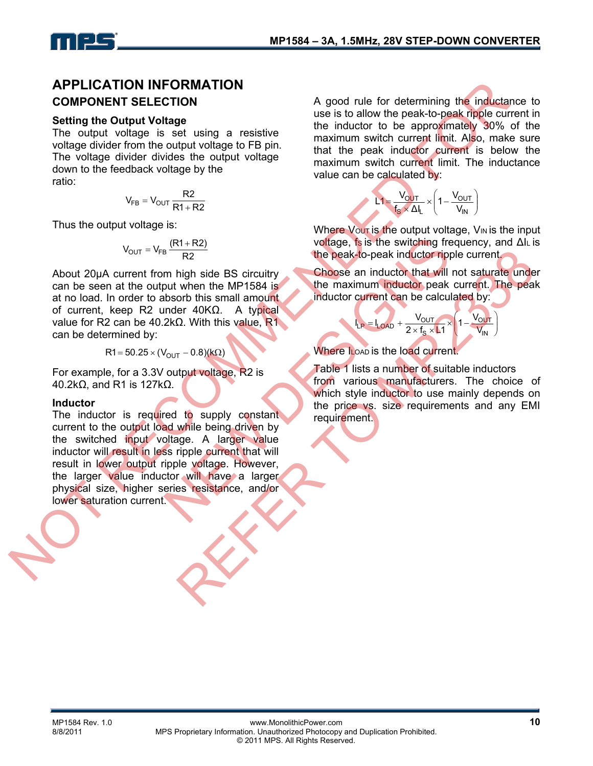### **APPLICATION INFORMATION COMPONENT SELECTION**

#### **Setting the Output Voltage**

The output voltage is set using a resistive voltage divider from the output voltage to FB pin. The voltage divider divides the output voltage down to the feedback voltage by the ratio:

$$
V_{FB} = V_{OUT} \frac{R2}{R1 + R2}
$$

Thus the output voltage is:

$$
V_{OUT} = V_{FB} \frac{(R1 + R2)}{R2}
$$

About 20µA current from high side BS circuitry can be seen at the output when the MP1584 is at no load. In order to absorb this small amount of current, keep R2 under 40KΩ. A typical value for R2 can be 40.2kΩ. With this value, R1 can be determined by:

$$
R1 = 50.25 \times (V_{OUT} - 0.8)(k\Omega)
$$

For example, for a 3.3V output voltage, R2 is 40.2kΩ, and R1 is 127kΩ.

#### **Inductor**

The inductor is required to supply constant current to the output load while being driven by the switched input voltage. A larger value inductor will result in less ripple current that will result in lower output ripple voltage. However, the larger value inductor will have a larger physical size, higher series resistance, and/or lower saturation current. **APPLICATION INFORMATION**<br>
COMPONENT SELECTION INFORMATION<br>
Set is set using the output voltage<br>
The output voltage the set is set using a resistive<br>
The inductor to be approximately 90%<br>
which are the set in the present  $\frac{(R1+R2)}{R2}$ <br>
In high side BS circuity<br>
but when the MP1584 is<br>
but when the MP1584 is<br>
but when the MP1584 is<br>
the maximum inductor that will<br>
the maximum inductor peak<br>
inductor current can be calcul<br>
moder 40KΩ. A t

A good rule for determining the inductance to use is to allow the peak-to-peak ripple current in the inductor to be approximately 30% of the maximum switch current limit. Also, make sure that the peak inductor current is below the maximum switch current limit. The inductance value can be calculated by:

$$
L1 = \frac{V_{OUT}}{f_S \times \Delta I_L} \times \left(1 - \frac{V_{OUT}}{V_{IN}}\right)
$$

Where Vout is the output voltage, VIN is the input voltage, fs is the switching frequency, and ΔIL is the peak-to-peak inductor ripple current.

Choose an inductor that will not saturate under the maximum inductor peak current. The peak inductor current can be calculated by:

$$
I_{LP} = I_{LOAD} + \frac{V_{OUT}}{2 \times f_S \times L1} \times \left(1 - \frac{V_{OUT}}{V_{IN}}\right)
$$

Where I<sub>LOAD</sub> is the load current

Table 1 lists a number of suitable inductors from various manufacturers. The choice of which style inductor to use mainly depends on the price vs. size requirements and any EMI R2<br>
Thigh side BS circuity<br>
when the MP1584 is circuity<br>
when the MP1884 in maximum inductor peak enters werent. The peak<br>
orb this small amount<br>
on this small amount<br>
on this small amount<br>
the dustrial inductor current c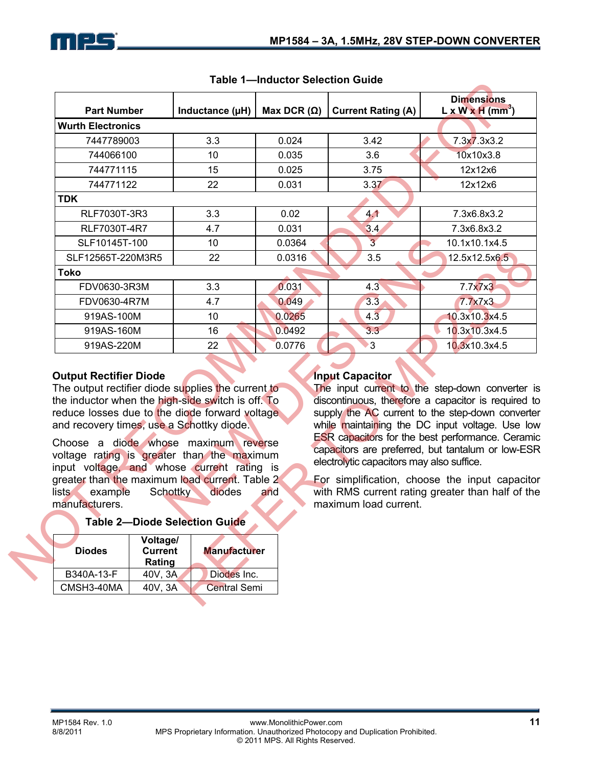|                                                                     | Table 1-Inductor Selection Guide     |                                                                                                                                                                                                                                                                                                                                                                                                        |                    |                                                                                              |                                                                                                                                                                                                                                                                                                                                                                                                                                     |  |
|---------------------------------------------------------------------|--------------------------------------|--------------------------------------------------------------------------------------------------------------------------------------------------------------------------------------------------------------------------------------------------------------------------------------------------------------------------------------------------------------------------------------------------------|--------------------|----------------------------------------------------------------------------------------------|-------------------------------------------------------------------------------------------------------------------------------------------------------------------------------------------------------------------------------------------------------------------------------------------------------------------------------------------------------------------------------------------------------------------------------------|--|
| <b>Part Number</b>                                                  |                                      | Inductance (µH)                                                                                                                                                                                                                                                                                                                                                                                        | Max DCR $(\Omega)$ | <b>Current Rating (A)</b>                                                                    | <b>Dimensions</b><br>$L \times W \times H$ (mm <sup>3</sup> )                                                                                                                                                                                                                                                                                                                                                                       |  |
| <b>Wurth Electronics</b>                                            |                                      |                                                                                                                                                                                                                                                                                                                                                                                                        |                    |                                                                                              |                                                                                                                                                                                                                                                                                                                                                                                                                                     |  |
| 7447789003                                                          |                                      | 3.3                                                                                                                                                                                                                                                                                                                                                                                                    | 0.024              | 3.42                                                                                         | 7.3x7.3x3.2                                                                                                                                                                                                                                                                                                                                                                                                                         |  |
| 744066100                                                           |                                      | 10                                                                                                                                                                                                                                                                                                                                                                                                     | 0.035              | 3.6                                                                                          | 10x10x3.8                                                                                                                                                                                                                                                                                                                                                                                                                           |  |
| 744771115                                                           |                                      | 15                                                                                                                                                                                                                                                                                                                                                                                                     | 0.025              | 3.75                                                                                         | 12x12x6                                                                                                                                                                                                                                                                                                                                                                                                                             |  |
| 744771122                                                           |                                      | 22                                                                                                                                                                                                                                                                                                                                                                                                     | 0.031              | 3.37                                                                                         | 12x12x6                                                                                                                                                                                                                                                                                                                                                                                                                             |  |
| <b>TDK</b>                                                          |                                      |                                                                                                                                                                                                                                                                                                                                                                                                        |                    |                                                                                              |                                                                                                                                                                                                                                                                                                                                                                                                                                     |  |
| RLF7030T-3R3                                                        |                                      | 3.3                                                                                                                                                                                                                                                                                                                                                                                                    | 0.02               | 4.1                                                                                          | 7.3x6.8x3.2                                                                                                                                                                                                                                                                                                                                                                                                                         |  |
| RLF7030T-4R7                                                        |                                      | 4.7                                                                                                                                                                                                                                                                                                                                                                                                    | 0.031              | 3.4                                                                                          | 7.3x6.8x3.2                                                                                                                                                                                                                                                                                                                                                                                                                         |  |
| SLF10145T-100                                                       |                                      | 10                                                                                                                                                                                                                                                                                                                                                                                                     | 0.0364             | $\overline{3}$                                                                               | 10.1x10.1x4.5                                                                                                                                                                                                                                                                                                                                                                                                                       |  |
| SLF12565T-220M3R5                                                   |                                      | 22                                                                                                                                                                                                                                                                                                                                                                                                     | 0.0316             | 3.5                                                                                          | 12.5x12.5x6.5                                                                                                                                                                                                                                                                                                                                                                                                                       |  |
| <b>Toko</b>                                                         |                                      |                                                                                                                                                                                                                                                                                                                                                                                                        |                    |                                                                                              |                                                                                                                                                                                                                                                                                                                                                                                                                                     |  |
| FDV0630-3R3M                                                        |                                      | 3.3                                                                                                                                                                                                                                                                                                                                                                                                    | 0.031              | 4.3                                                                                          | 7.7x7x3                                                                                                                                                                                                                                                                                                                                                                                                                             |  |
| FDV0630-4R7M                                                        |                                      | 4.7                                                                                                                                                                                                                                                                                                                                                                                                    | 0.049              | 3.3                                                                                          | 7.7x7x3                                                                                                                                                                                                                                                                                                                                                                                                                             |  |
| 919AS-100M                                                          |                                      | 10                                                                                                                                                                                                                                                                                                                                                                                                     | 0.0265             | 4.3                                                                                          | 10.3x10.3x4.5                                                                                                                                                                                                                                                                                                                                                                                                                       |  |
| 919AS-160M                                                          |                                      | 16                                                                                                                                                                                                                                                                                                                                                                                                     | 0.0492             | 3.3                                                                                          | 10.3x10.3x4.5                                                                                                                                                                                                                                                                                                                                                                                                                       |  |
| 919AS-220M                                                          |                                      |                                                                                                                                                                                                                                                                                                                                                                                                        |                    |                                                                                              |                                                                                                                                                                                                                                                                                                                                                                                                                                     |  |
|                                                                     |                                      | 22                                                                                                                                                                                                                                                                                                                                                                                                     | 0.0776             | $3^{\circ}$                                                                                  | 10.3x10.3x4.5                                                                                                                                                                                                                                                                                                                                                                                                                       |  |
| <b>Output Rectifier Diode</b><br>lists<br>example<br>manufacturers. | Schottky                             | The output rectifier diode supplies the current to<br>the inductor when the high-side switch is off. To<br>reduce losses due to the diode forward voltage<br>and recovery times, use a Schottky diode.<br>Choose a diode whose maximum reverse<br>voltage rating is greater than the maximum<br>input voltage, and whose current rating is<br>greater than the maximum load current. Table 2<br>diodes | and                | <b>Input Capacitor</b><br>electrolytic capacitors may also suffice.<br>maximum load current. |                                                                                                                                                                                                                                                                                                                                                                                                                                     |  |
|                                                                     |                                      | <b>Table 2-Diode Selection Guide</b>                                                                                                                                                                                                                                                                                                                                                                   |                    |                                                                                              |                                                                                                                                                                                                                                                                                                                                                                                                                                     |  |
| <b>Diodes</b>                                                       | Voltage/<br><b>Current</b><br>Rating | <b>Manufacturer</b>                                                                                                                                                                                                                                                                                                                                                                                    |                    |                                                                                              | The input current to the step-down converter is<br>discontinuous, therefore a capacitor is required to<br>supply the AC current to the step-down converter<br>while maintaining the DC input voltage. Use low<br><b>ESR</b> capacitors for the best performance. Ceramic<br>capacitors are preferred, but tantalum or low-ESF<br>For simplification, choose the input capacitor<br>with RMS current rating greater than half of the |  |
| B340A-13-F<br>CMSH3-40MA                                            | 40V, 3A<br>40V, 3A                   | Diodes Inc.<br><b>Central Semi</b>                                                                                                                                                                                                                                                                                                                                                                     |                    |                                                                                              |                                                                                                                                                                                                                                                                                                                                                                                                                                     |  |

### **Table 1—Inductor Selection Guide**

#### **Output Rectifier Diode**

#### **Table 2—Diode Selection Guide**

| Voltage/<br><b>Current</b><br>Rating | <b>Manufacturer</b> |  |  |
|--------------------------------------|---------------------|--|--|
| 40V, 3A                              | Diodes Inc.         |  |  |
| 40V, 3A                              | <b>Central Semi</b> |  |  |
|                                      |                     |  |  |

#### **Input Capacitor**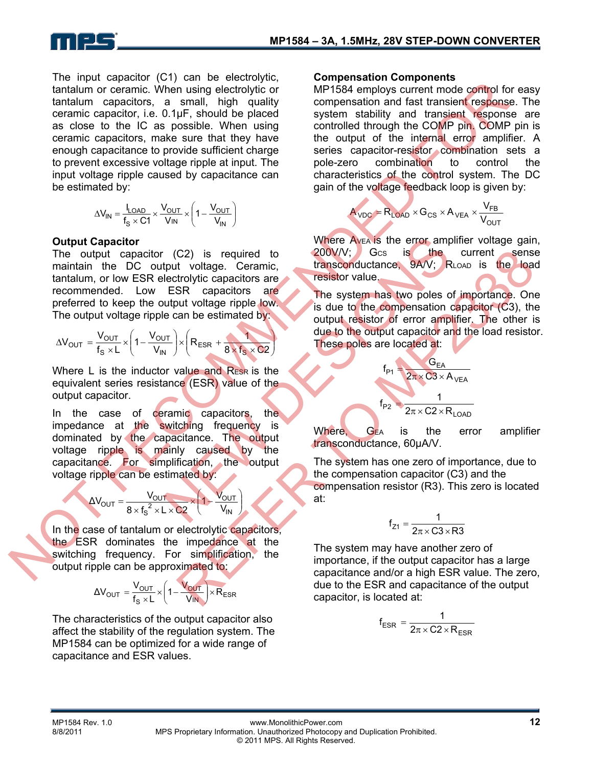

The input capacitor (C1) can be electrolytic, tantalum or ceramic. When using electrolytic or tantalum capacitors, a small, high quality ceramic capacitor, i.e. 0.1μF, should be placed as close to the IC as possible. When using ceramic capacitors, make sure that they have enough capacitance to provide sufficient charge to prevent excessive voltage ripple at input. The input voltage ripple caused by capacitance can be estimated by: the<br>number coeffront (Signal method coeffront of the state of the state of the state of the<br>method coeffront of the state of the state of the state of the state of<br>the coeffront coeffront in the coeffront of the state of

$$
\Delta V_{IN} = \frac{I_{LOAD}}{f_S \times C1} \times \frac{V_{OUT}}{V_{IN}} \times \left(1 - \frac{V_{OUT}}{V_{IN}}\right)
$$

#### **Output Capacitor**

The output capacitor (C2) is required to maintain the DC output voltage. Ceramic, tantalum, or low ESR electrolytic capacitors are recommended. Low ESR capacitors are preferred to keep the output voltage ripple low. The output voltage ripple can be estimated by:

$$
\Delta V_{OUT} = \frac{V_{OUT}}{f_s \times L} \times \left(1 - \frac{V_{OUT}}{V_{IN}}\right) \times \left(R_{ESR} + \frac{1}{8 \times f_s \times C2}\right)
$$

Where  $L$  is the inductor value and  $R_{FSR}$  is the equivalent series resistance (ESR) value of the output capacitor.

In the case of ceramic capacitors, the impedance at the switching frequency is dominated by the capacitance. The output voltage ripple is mainly caused by the capacitance. For simplification, the output voltage ripple can be estimated by: (C2) is required to 200V/V; Gcs is the<br>theut voltage. Ceramic,<br>lectrolytic capacitors are<br>ESR capacitors are<br>the the system has two poles of<br>the example of the system has two poles of<br>e can be estimated by<br>the system has

$$
\Delta V_{OUT} = \frac{V_{OUT}}{8 \times f_s^2 \times L \times C2} \times \left(1 - \frac{V_{OUT}}{V_{IN}}\right)
$$

In the case of tantalum or electrolytic capacitors, the ESR dominates the impedance at the switching frequency. For simplification, the output ripple can be approximated to:

$$
\Delta V_{OUT} = \frac{V_{OUT}}{f_s \times L} \times \left(1 - \frac{V_{OUT}}{V_{IN}}\right) \times R_{ESR}
$$

The characteristics of the output capacitor also affect the stability of the regulation system. The MP1584 can be optimized for a wide range of capacitance and ESR values.

#### **Compensation Components**

MP1584 employs current mode control for easy compensation and fast transient response. The system stability and transient response are controlled through the COMP pin. COMP pin is the output of the internal error amplifier. A series capacitor-resistor combination sets a pole-zero combination to control the characteristics of the control system. The DC gain of the voltage feedback loop is given by:

$$
A_{\text{VDC}} = R_{\text{LOAD}} \times G_{\text{CS}} \times A_{\text{VEA}} \times \frac{V_{\text{FB}}}{V_{\text{OUT}}}
$$

Where Avea is the error amplifier voltage gain, 200V/V; GCS is the current sense transconductance, 9A/V; RLOAD is the load resistor value.

The system has two poles of importance. One is due to the compensation capacitor (C3), the output resistor of error amplifier. The other is due to the output capacitor and the load resistor. These poles are located at: C2) is required to 200V/V; Gcs is the current sensor<br>
trolytic capacitors are<br>
trolytic capacitors are<br>
SR capacitors are<br>
the system has two poles of importance. One<br>
with voltage riple low<br>
and be stimated by<br>
with the

$$
f_{P1} = \frac{G_{EA}}{2\pi \times C3 \times A_{VEA}}
$$

$$
f_{P2} = \frac{1}{2\pi \times C2 \times R_{LOAD}}
$$

Where, G<sub>EA</sub> is the error amplifier transconductance, 60μA/V.

The system has one zero of importance, due to the compensation capacitor (C3) and the compensation resistor (R3). This zero is located at:

$$
f_{Z1} = \frac{1}{2\pi \times C3 \times R3}
$$

The system may have another zero of importance, if the output capacitor has a large capacitance and/or a high ESR value. The zero, due to the ESR and capacitance of the output capacitor, is located at:

$$
f_{ESR} = \frac{1}{2\pi \times C2 \times R_{ESR}}
$$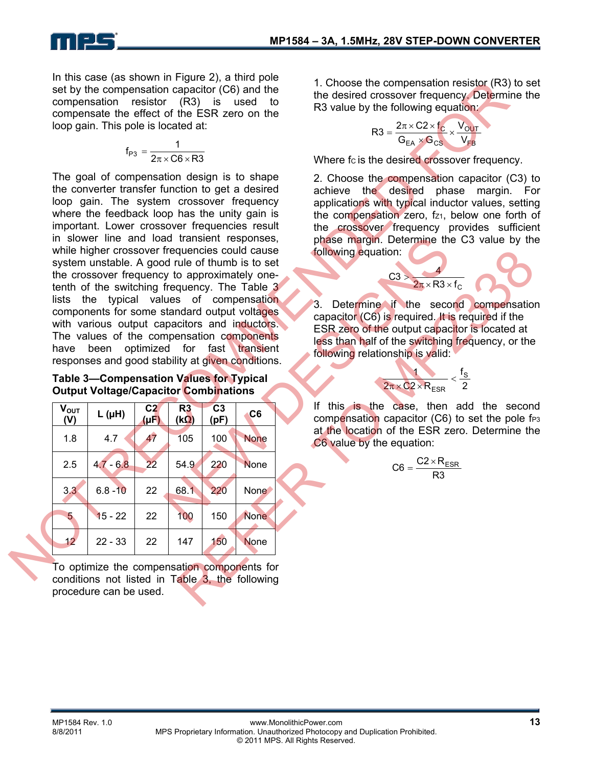In this case (as shown in Figure 2), a third pole set by the compensation capacitor (C6) and the compensation resistor (R3) is used to compensate the effect of the ESR zero on the loop gain. This pole is located at:

$$
f_{P3} = \frac{1}{2\pi \times C6 \times R3}
$$

The goal of compensation design is to shape the converter transfer function to get a desired loop gain. The system crossover frequency where the feedback loop has the unity gain is important. Lower crossover frequencies result in slower line and load transient responses, while higher crossover frequencies could cause system unstable. A good rule of thumb is to set the crossover frequency to approximately onetenth of the switching frequency. The Table 3 lists the typical values of compensation components for some standard output voltages with various output capacitors and inductors. The values of the compensation components have been optimized for fast transient responses and good stability at given conditions. set by the compensation capacitor (C6) and the compensation capacitor (26) and the compensation capacitor (26) and the difference of the difference of the ESR zero on the<br>
scorperation resistor (R3) is used to the ESR zer and transient responses,<br>
frequencies could cause of the stell of thum is to set<br>
of rule of thum is to set<br>
the alues of compensation<br>
frequency. The Table 3<br>
ues of compensation<br>
transient and output voltages<br>
the secon

| Determine if the second compensation<br>capacitor (C6) is required. It is required if the<br>ESR zero of the output capacitor is located at<br>less than half of the switching frequency, or the |
|--------------------------------------------------------------------------------------------------------------------------------------------------------------------------------------------------|
|                                                                                                                                                                                                  |
| this is the case, then add the second<br>compensation capacitor (C6) to set the pole f                                                                                                           |
| at the location of the ESR zero. Determine the                                                                                                                                                   |
|                                                                                                                                                                                                  |
|                                                                                                                                                                                                  |
|                                                                                                                                                                                                  |
|                                                                                                                                                                                                  |
|                                                                                                                                                                                                  |
|                                                                                                                                                                                                  |

1. Choose the compensation resistor (R3) to set the desired crossover frequency. Determine the R3 value by the following equation:

$$
R3 = \frac{2\pi \times C2 \times f_C}{G_{EA} \times G_{CS}} \times \frac{V_{OUT}}{V_{FB}}
$$

Where fc is the desired crossover frequency.

2. Choose the compensation capacitor (C3) to achieve the desired phase margin. For applications with typical inductor values, setting the compensation zero, fz1, below one forth of the crossover frequency provides sufficient phase margin. Determine the C3 value by the following equation:



$$
\frac{1}{2\pi \times C2 \times R_{ESR}} < \frac{f_S}{2}
$$

$$
C6=\frac{C2\times R_{ESR}}{R3}
$$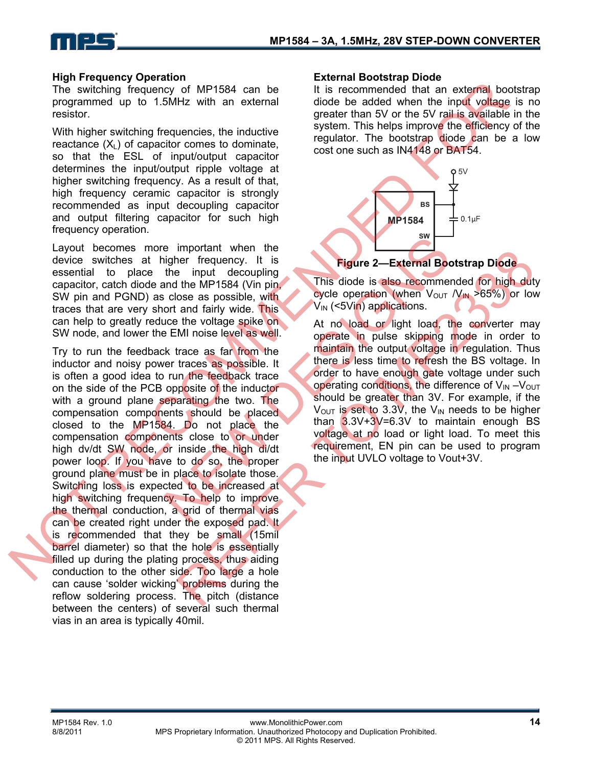

#### **High Frequency Operation**

The switching frequency of MP1584 can be programmed up to 1.5MHz with an external resistor.

With higher switching frequencies, the inductive reactance  $(X_L)$  of capacitor comes to dominate, so that the ESL of input/output capacitor determines the input/output ripple voltage at higher switching frequency. As a result of that, high frequency ceramic capacitor is strongly recommended as input decoupling capacitor and output filtering capacitor for such high frequency operation.

Layout becomes more important when the device switches at higher frequency. It is essential to place the input decoupling capacitor, catch diode and the MP1584 (Vin pin, SW pin and PGND) as close as possible, with traces that are very short and fairly wide. This can help to greatly reduce the voltage spike on SW node, and lower the EMI noise level as well.

Try to run the feedback trace as far from the inductor and noisy power traces as possible. It is often a good idea to run the feedback trace on the side of the PCB opposite of the inductor with a ground plane separating the two. The compensation components should be placed closed to the MP1584. Do not place the compensation components close to or under high dv/dt SW node, or inside the high di/dt power loop. If you have to do so, the proper ground plane must be in place to isolate those. Switching loss is expected to be increased at high switching frequency. To help to improve the thermal conduction, a grid of thermal vias can be created right under the exposed pad. It is recommended that they be small (15mil barrel diameter) so that the hole is essentially filled up during the plating process, thus aiding conduction to the other side. Too large a hole can cause 'solder wicking' problems during the reflow soldering process. The pitch (distance between the centers) of several such thermal vias in an area is typically 40mil. The widthing tequency of MP1594 can be encomparated that an edgew<br>the higher switching frequencies, the inductive system. This helps import with the instantant with the present that a<br>set of the SV and an external of the S Example the input of the interest of the interest of the interest of the interest of the interest of the special of the special of the special of the special of the special of the special of the special of the special of

#### **External Bootstrap Diode**

It is recommended that an external bootstrap diode be added when the input voltage is no greater than 5V or the 5V rail is available in the system. This helps improve the efficiency of the regulator. The bootstrap diode can be a low cost one such as IN4148 or BAT54.



### **Figure 2—External Bootstrap Diode**

This diode is also recommended for high duty cycle operation (when  $V_{\text{OUT}}/V_{\text{IN}} > 65\%)$  or low V<sub>IN</sub> (<5Vin) applications.

At no load or light load, the converter may operate in pulse skipping mode in order to maintain the output voltage in regulation. Thus there is less time to refresh the BS voltage. In order to have enough gate voltage under such operating conditions, the difference of  $V_{IN} - V_{OUT}$ should be greater than 3V. For example, if the  $V_{\text{OUT}}$  is set to 3.3V, the V<sub>IN</sub> needs to be higher than  $3.3V+3V=6.3V$  to maintain enough BS voltage at no load or light load. To meet this requirement, EN pin can be used to program moralit with the Mission of the Mission of the Mission of the Mission of the Mission of the Mission of the Mission of the Mission of the Mission of the three these the control of the more than the reduced as well. At no l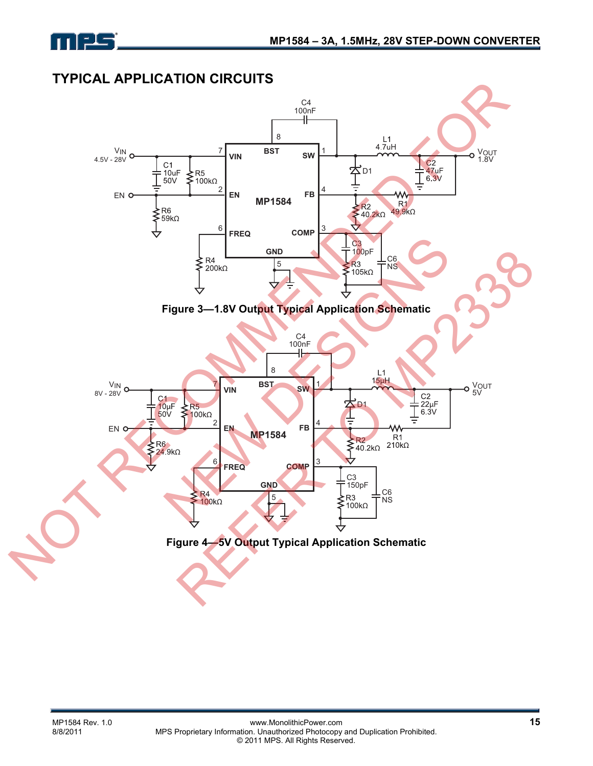

### **TYPICAL APPLICATION CIRCUITS**

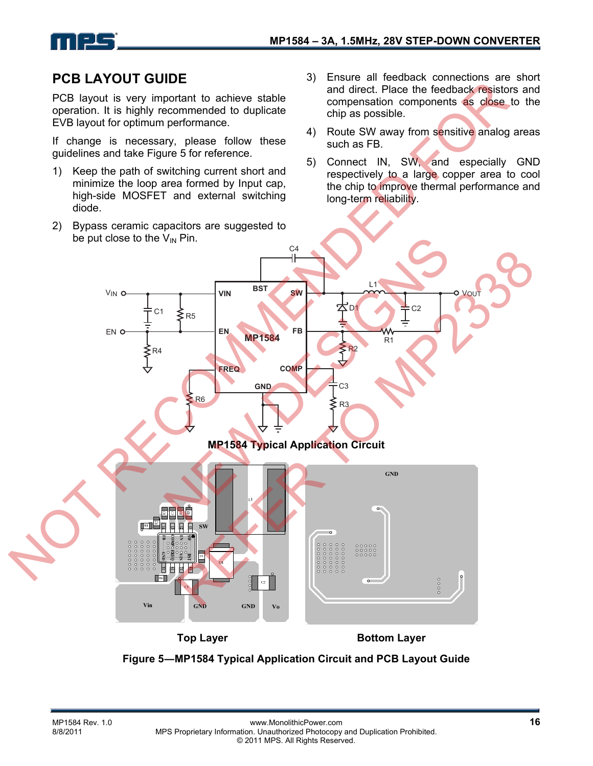

### **PCB LAYOUT GUIDE**

PCB layout is very important to achieve stable operation. It is highly recommended to duplicate EVB layout for optimum performance.

If change is necessary, please follow these guidelines and take Figure 5 for reference.

- 1) Keep the path of switching current short and minimize the loop area formed by Input cap, high-side MOSFET and external switching diode.
- 2) Bypass ceramic capacitors are suggested to be put close to the  $V_{IN}$  Pin.
- 3) Ensure all feedback connections are short and direct. Place the feedback resistors and compensation components as close to the chip as possible.
- 4) Route SW away from sensitive analog areas such as FB.
- 5) Connect IN, SW, and especially GND respectively to a large copper area to cool the chip to improve thermal performance and long-term reliability.